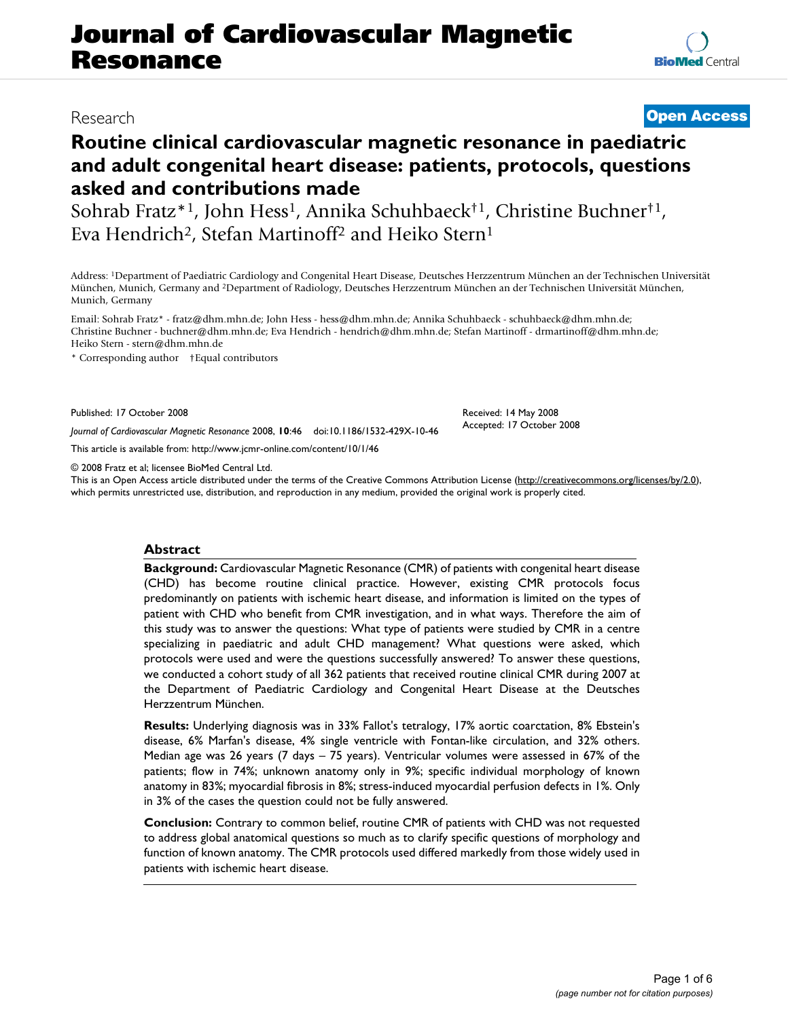# **Journal of Cardiovascular Magnetic Resonance**

## **Routine clinical cardiovascular magnetic resonance in paediatric and adult congenital heart disease: patients, protocols, questions asked and contributions made**

Sohrab Fratz\*1, John Hess1, Annika Schuhbaeck†1, Christine Buchner†1, Eva Hendrich<sup>2</sup>, Stefan Martinoff<sup>2</sup> and Heiko Stern<sup>1</sup>

Address: 1Department of Paediatric Cardiology and Congenital Heart Disease, Deutsches Herzzentrum München an der Technischen Universität München, Munich, Germany and 2Department of Radiology, Deutsches Herzzentrum München an der Technischen Universität München, Munich, Germany

Email: Sohrab Fratz\* - fratz@dhm.mhn.de; John Hess - hess@dhm.mhn.de; Annika Schuhbaeck - schuhbaeck@dhm.mhn.de; Christine Buchner - buchner@dhm.mhn.de; Eva Hendrich - hendrich@dhm.mhn.de; Stefan Martinoff - drmartinoff@dhm.mhn.de; Heiko Stern - stern@dhm.mhn.de

\* Corresponding author †Equal contributors

Published: 17 October 2008

*Journal of Cardiovascular Magnetic Resonance* 2008, **10**:46 doi:10.1186/1532-429X-10-46

[This article is available from: http://www.jcmr-online.com/content/10/1/46](http://www.jcmr-online.com/content/10/1/46)

© 2008 Fratz et al; licensee BioMed Central Ltd.

This is an Open Access article distributed under the terms of the Creative Commons Attribution License [\(http://creativecommons.org/licenses/by/2.0\)](http://creativecommons.org/licenses/by/2.0), which permits unrestricted use, distribution, and reproduction in any medium, provided the original work is properly cited.

#### **Abstract**

**Background:** Cardiovascular Magnetic Resonance (CMR) of patients with congenital heart disease (CHD) has become routine clinical practice. However, existing CMR protocols focus predominantly on patients with ischemic heart disease, and information is limited on the types of patient with CHD who benefit from CMR investigation, and in what ways. Therefore the aim of this study was to answer the questions: What type of patients were studied by CMR in a centre specializing in paediatric and adult CHD management? What questions were asked, which protocols were used and were the questions successfully answered? To answer these questions, we conducted a cohort study of all 362 patients that received routine clinical CMR during 2007 at the Department of Paediatric Cardiology and Congenital Heart Disease at the Deutsches Herzzentrum München.

**Results:** Underlying diagnosis was in 33% Fallot's tetralogy, 17% aortic coarctation, 8% Ebstein's disease, 6% Marfan's disease, 4% single ventricle with Fontan-like circulation, and 32% others. Median age was 26 years (7 days  $-75$  years). Ventricular volumes were assessed in 67% of the patients; flow in 74%; unknown anatomy only in 9%; specific individual morphology of known anatomy in 83%; myocardial fibrosis in 8%; stress-induced myocardial perfusion defects in 1%. Only in 3% of the cases the question could not be fully answered.

**Conclusion:** Contrary to common belief, routine CMR of patients with CHD was not requested to address global anatomical questions so much as to clarify specific questions of morphology and function of known anatomy. The CMR protocols used differed markedly from those widely used in patients with ischemic heart disease.



**[BioMed](http://www.biomedcentral.com/)** Central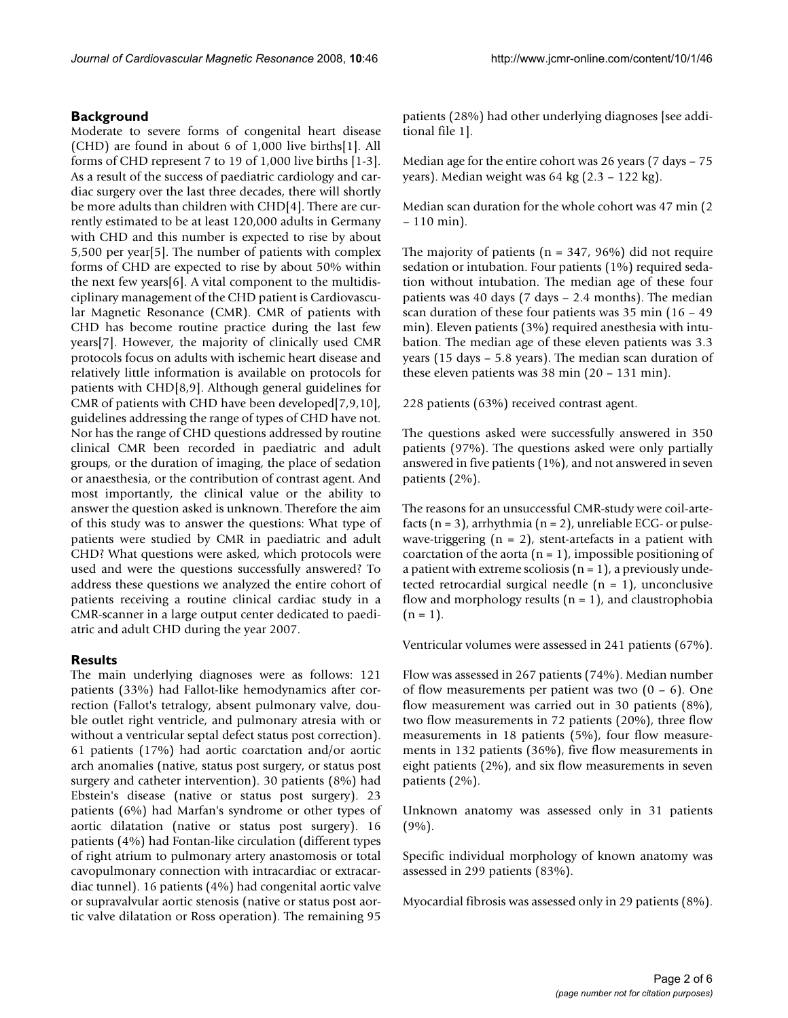#### **Background**

Moderate to severe forms of congenital heart disease (CHD) are found in about 6 of 1,000 live births[1]. All forms of CHD represent 7 to 19 of 1,000 live births [1-3]. As a result of the success of paediatric cardiology and cardiac surgery over the last three decades, there will shortly be more adults than children with CHD[4]. There are currently estimated to be at least 120,000 adults in Germany with CHD and this number is expected to rise by about 5,500 per year[5]. The number of patients with complex forms of CHD are expected to rise by about 50% within the next few years[6]. A vital component to the multidisciplinary management of the CHD patient is Cardiovascular Magnetic Resonance (CMR). CMR of patients with CHD has become routine practice during the last few years[7]. However, the majority of clinically used CMR protocols focus on adults with ischemic heart disease and relatively little information is available on protocols for patients with CHD[8,9]. Although general guidelines for CMR of patients with CHD have been developed[7,9,10], guidelines addressing the range of types of CHD have not. Nor has the range of CHD questions addressed by routine clinical CMR been recorded in paediatric and adult groups, or the duration of imaging, the place of sedation or anaesthesia, or the contribution of contrast agent. And most importantly, the clinical value or the ability to answer the question asked is unknown. Therefore the aim of this study was to answer the questions: What type of patients were studied by CMR in paediatric and adult CHD? What questions were asked, which protocols were used and were the questions successfully answered? To address these questions we analyzed the entire cohort of patients receiving a routine clinical cardiac study in a CMR-scanner in a large output center dedicated to paediatric and adult CHD during the year 2007.

#### **Results**

The main underlying diagnoses were as follows: 121 patients (33%) had Fallot-like hemodynamics after correction (Fallot's tetralogy, absent pulmonary valve, double outlet right ventricle, and pulmonary atresia with or without a ventricular septal defect status post correction). 61 patients (17%) had aortic coarctation and/or aortic arch anomalies (native, status post surgery, or status post surgery and catheter intervention). 30 patients (8%) had Ebstein's disease (native or status post surgery). 23 patients (6%) had Marfan's syndrome or other types of aortic dilatation (native or status post surgery). 16 patients (4%) had Fontan-like circulation (different types of right atrium to pulmonary artery anastomosis or total cavopulmonary connection with intracardiac or extracardiac tunnel). 16 patients (4%) had congenital aortic valve or supravalvular aortic stenosis (native or status post aortic valve dilatation or Ross operation). The remaining 95 patients (28%) had other underlying diagnoses [see additional file 1].

Median age for the entire cohort was 26 years (7 days – 75 years). Median weight was 64 kg (2.3 – 122 kg).

Median scan duration for the whole cohort was 47 min (2 – 110 min).

The majority of patients ( $n = 347, 96\%$ ) did not require sedation or intubation. Four patients (1%) required sedation without intubation. The median age of these four patients was 40 days (7 days – 2.4 months). The median scan duration of these four patients was 35 min (16 – 49 min). Eleven patients (3%) required anesthesia with intubation. The median age of these eleven patients was 3.3 years (15 days – 5.8 years). The median scan duration of these eleven patients was 38 min (20 – 131 min).

228 patients (63%) received contrast agent.

The questions asked were successfully answered in 350 patients (97%). The questions asked were only partially answered in five patients (1%), and not answered in seven patients (2%).

The reasons for an unsuccessful CMR-study were coil-artefacts  $(n = 3)$ , arrhythmia  $(n = 2)$ , unreliable ECG- or pulsewave-triggering  $(n = 2)$ , stent-artefacts in a patient with coarctation of the aorta  $(n = 1)$ , impossible positioning of a patient with extreme scoliosis  $(n = 1)$ , a previously undetected retrocardial surgical needle  $(n = 1)$ , unconclusive flow and morphology results  $(n = 1)$ , and claustrophobia  $(n = 1)$ .

Ventricular volumes were assessed in 241 patients (67%).

Flow was assessed in 267 patients (74%). Median number of flow measurements per patient was two  $(0 - 6)$ . One flow measurement was carried out in 30 patients (8%), two flow measurements in 72 patients (20%), three flow measurements in 18 patients (5%), four flow measurements in 132 patients (36%), five flow measurements in eight patients (2%), and six flow measurements in seven patients (2%).

Unknown anatomy was assessed only in 31 patients  $(9\%)$ .

Specific individual morphology of known anatomy was assessed in 299 patients (83%).

Myocardial fibrosis was assessed only in 29 patients (8%).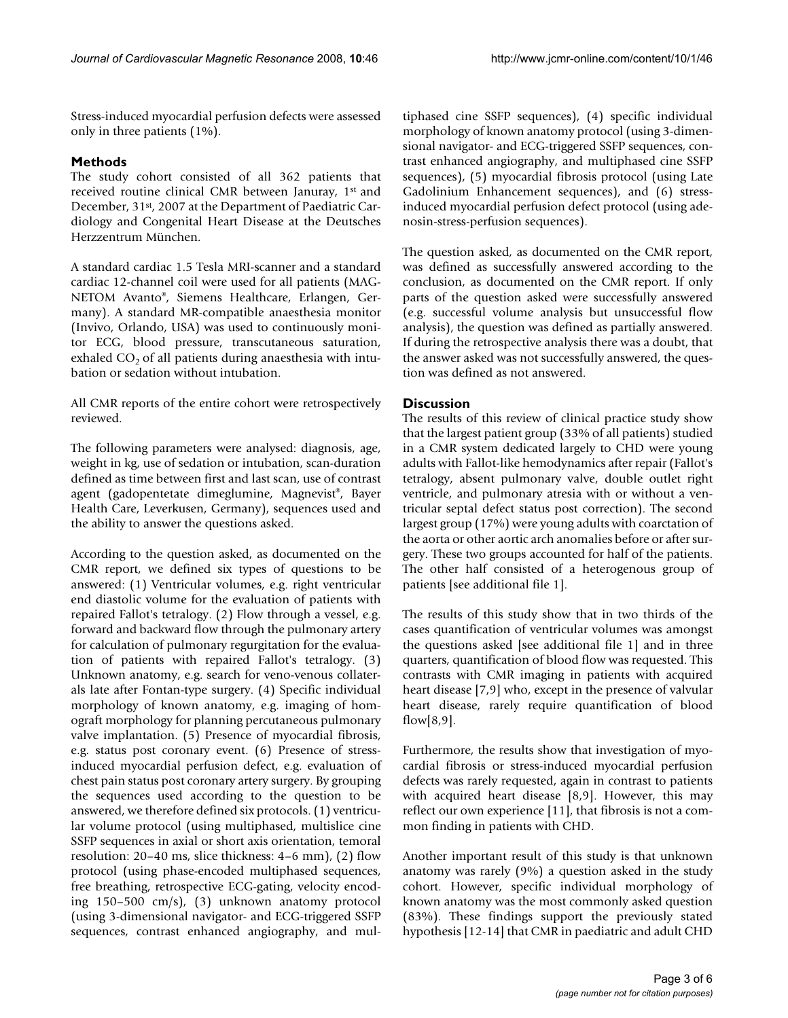Stress-induced myocardial perfusion defects were assessed only in three patients (1%).

### **Methods**

The study cohort consisted of all 362 patients that received routine clinical CMR between Januray, 1st and December, 31st, 2007 at the Department of Paediatric Cardiology and Congenital Heart Disease at the Deutsches Herzzentrum München.

A standard cardiac 1.5 Tesla MRI-scanner and a standard cardiac 12-channel coil were used for all patients (MAG-NETOM Avanto®, Siemens Healthcare, Erlangen, Germany). A standard MR-compatible anaesthesia monitor (Invivo, Orlando, USA) was used to continuously monitor ECG, blood pressure, transcutaneous saturation, exhaled  $CO<sub>2</sub>$  of all patients during anaesthesia with intubation or sedation without intubation.

All CMR reports of the entire cohort were retrospectively reviewed.

The following parameters were analysed: diagnosis, age, weight in kg, use of sedation or intubation, scan-duration defined as time between first and last scan, use of contrast agent (gadopentetate dimeglumine, Magnevist®, Bayer Health Care, Leverkusen, Germany), sequences used and the ability to answer the questions asked.

According to the question asked, as documented on the CMR report, we defined six types of questions to be answered: (1) Ventricular volumes, e.g. right ventricular end diastolic volume for the evaluation of patients with repaired Fallot's tetralogy. (2) Flow through a vessel, e.g. forward and backward flow through the pulmonary artery for calculation of pulmonary regurgitation for the evaluation of patients with repaired Fallot's tetralogy. (3) Unknown anatomy, e.g. search for veno-venous collaterals late after Fontan-type surgery. (4) Specific individual morphology of known anatomy, e.g. imaging of homograft morphology for planning percutaneous pulmonary valve implantation. (5) Presence of myocardial fibrosis, e.g. status post coronary event. (6) Presence of stressinduced myocardial perfusion defect, e.g. evaluation of chest pain status post coronary artery surgery. By grouping the sequences used according to the question to be answered, we therefore defined six protocols. (1) ventricular volume protocol (using multiphased, multislice cine SSFP sequences in axial or short axis orientation, temoral resolution: 20–40 ms, slice thickness: 4–6 mm), (2) flow protocol (using phase-encoded multiphased sequences, free breathing, retrospective ECG-gating, velocity encoding 150–500 cm/s), (3) unknown anatomy protocol (using 3-dimensional navigator- and ECG-triggered SSFP sequences, contrast enhanced angiography, and multiphased cine SSFP sequences), (4) specific individual morphology of known anatomy protocol (using 3-dimensional navigator- and ECG-triggered SSFP sequences, contrast enhanced angiography, and multiphased cine SSFP sequences), (5) myocardial fibrosis protocol (using Late Gadolinium Enhancement sequences), and (6) stressinduced myocardial perfusion defect protocol (using adenosin-stress-perfusion sequences).

The question asked, as documented on the CMR report, was defined as successfully answered according to the conclusion, as documented on the CMR report. If only parts of the question asked were successfully answered (e.g. successful volume analysis but unsuccessful flow analysis), the question was defined as partially answered. If during the retrospective analysis there was a doubt, that the answer asked was not successfully answered, the question was defined as not answered.

### **Discussion**

The results of this review of clinical practice study show that the largest patient group (33% of all patients) studied in a CMR system dedicated largely to CHD were young adults with Fallot-like hemodynamics after repair (Fallot's tetralogy, absent pulmonary valve, double outlet right ventricle, and pulmonary atresia with or without a ventricular septal defect status post correction). The second largest group (17%) were young adults with coarctation of the aorta or other aortic arch anomalies before or after surgery. These two groups accounted for half of the patients. The other half consisted of a heterogenous group of patients [see additional file 1].

The results of this study show that in two thirds of the cases quantification of ventricular volumes was amongst the questions asked [see additional file 1] and in three quarters, quantification of blood flow was requested. This contrasts with CMR imaging in patients with acquired heart disease [7,9] who, except in the presence of valvular heart disease, rarely require quantification of blood flow[8,9].

Furthermore, the results show that investigation of myocardial fibrosis or stress-induced myocardial perfusion defects was rarely requested, again in contrast to patients with acquired heart disease [8,9]. However, this may reflect our own experience [11], that fibrosis is not a common finding in patients with CHD.

Another important result of this study is that unknown anatomy was rarely (9%) a question asked in the study cohort. However, specific individual morphology of known anatomy was the most commonly asked question (83%). These findings support the previously stated hypothesis [12-14] that CMR in paediatric and adult CHD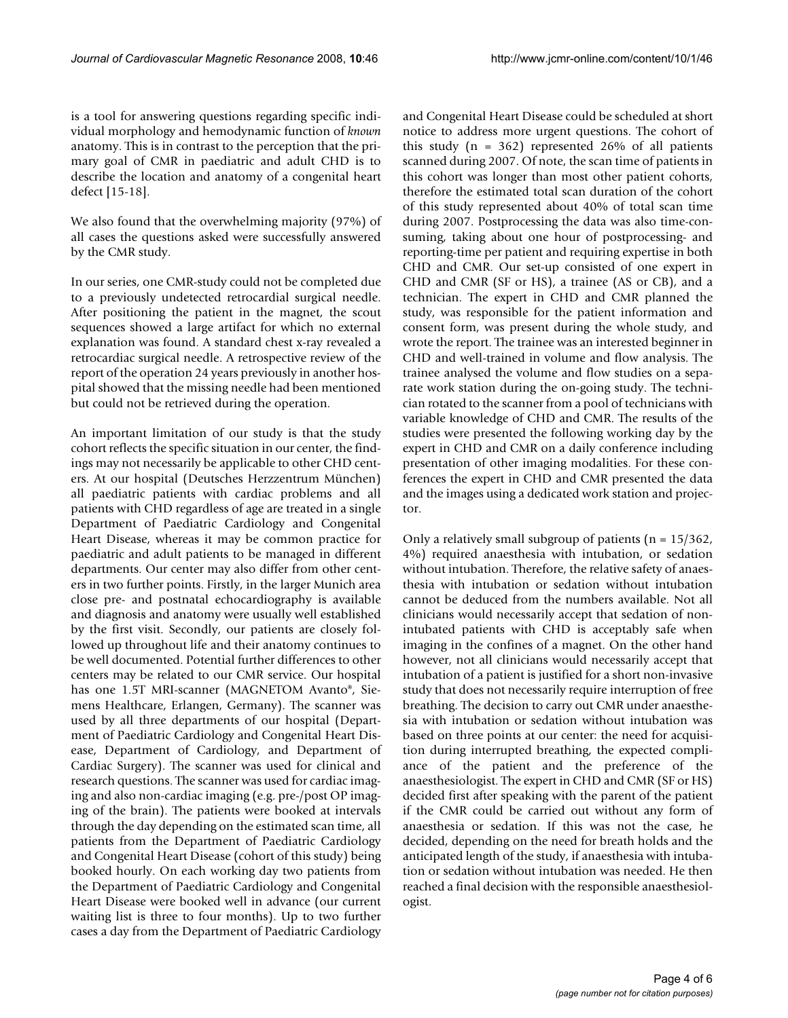is a tool for answering questions regarding specific individual morphology and hemodynamic function of *known* anatomy. This is in contrast to the perception that the primary goal of CMR in paediatric and adult CHD is to describe the location and anatomy of a congenital heart defect [15-18].

We also found that the overwhelming majority (97%) of all cases the questions asked were successfully answered by the CMR study.

In our series, one CMR-study could not be completed due to a previously undetected retrocardial surgical needle. After positioning the patient in the magnet, the scout sequences showed a large artifact for which no external explanation was found. A standard chest x-ray revealed a retrocardiac surgical needle. A retrospective review of the report of the operation 24 years previously in another hospital showed that the missing needle had been mentioned but could not be retrieved during the operation.

An important limitation of our study is that the study cohort reflects the specific situation in our center, the findings may not necessarily be applicable to other CHD centers. At our hospital (Deutsches Herzzentrum München) all paediatric patients with cardiac problems and all patients with CHD regardless of age are treated in a single Department of Paediatric Cardiology and Congenital Heart Disease, whereas it may be common practice for paediatric and adult patients to be managed in different departments. Our center may also differ from other centers in two further points. Firstly, in the larger Munich area close pre- and postnatal echocardiography is available and diagnosis and anatomy were usually well established by the first visit. Secondly, our patients are closely followed up throughout life and their anatomy continues to be well documented. Potential further differences to other centers may be related to our CMR service. Our hospital has one 1.5T MRI-scanner (MAGNETOM Avanto®, Siemens Healthcare, Erlangen, Germany). The scanner was used by all three departments of our hospital (Department of Paediatric Cardiology and Congenital Heart Disease, Department of Cardiology, and Department of Cardiac Surgery). The scanner was used for clinical and research questions. The scanner was used for cardiac imaging and also non-cardiac imaging (e.g. pre-/post OP imaging of the brain). The patients were booked at intervals through the day depending on the estimated scan time, all patients from the Department of Paediatric Cardiology and Congenital Heart Disease (cohort of this study) being booked hourly. On each working day two patients from the Department of Paediatric Cardiology and Congenital Heart Disease were booked well in advance (our current waiting list is three to four months). Up to two further cases a day from the Department of Paediatric Cardiology

and Congenital Heart Disease could be scheduled at short notice to address more urgent questions. The cohort of this study  $(n = 362)$  represented 26% of all patients scanned during 2007. Of note, the scan time of patients in this cohort was longer than most other patient cohorts, therefore the estimated total scan duration of the cohort of this study represented about 40% of total scan time during 2007. Postprocessing the data was also time-consuming, taking about one hour of postprocessing- and reporting-time per patient and requiring expertise in both CHD and CMR. Our set-up consisted of one expert in CHD and CMR (SF or HS), a trainee (AS or CB), and a technician. The expert in CHD and CMR planned the study, was responsible for the patient information and consent form, was present during the whole study, and wrote the report. The trainee was an interested beginner in CHD and well-trained in volume and flow analysis. The trainee analysed the volume and flow studies on a separate work station during the on-going study. The technician rotated to the scanner from a pool of technicians with variable knowledge of CHD and CMR. The results of the studies were presented the following working day by the expert in CHD and CMR on a daily conference including presentation of other imaging modalities. For these conferences the expert in CHD and CMR presented the data and the images using a dedicated work station and projector.

Only a relatively small subgroup of patients ( $n = 15/362$ , 4%) required anaesthesia with intubation, or sedation without intubation. Therefore, the relative safety of anaesthesia with intubation or sedation without intubation cannot be deduced from the numbers available. Not all clinicians would necessarily accept that sedation of nonintubated patients with CHD is acceptably safe when imaging in the confines of a magnet. On the other hand however, not all clinicians would necessarily accept that intubation of a patient is justified for a short non-invasive study that does not necessarily require interruption of free breathing. The decision to carry out CMR under anaesthesia with intubation or sedation without intubation was based on three points at our center: the need for acquisition during interrupted breathing, the expected compliance of the patient and the preference of the anaesthesiologist. The expert in CHD and CMR (SF or HS) decided first after speaking with the parent of the patient if the CMR could be carried out without any form of anaesthesia or sedation. If this was not the case, he decided, depending on the need for breath holds and the anticipated length of the study, if anaesthesia with intubation or sedation without intubation was needed. He then reached a final decision with the responsible anaesthesiologist.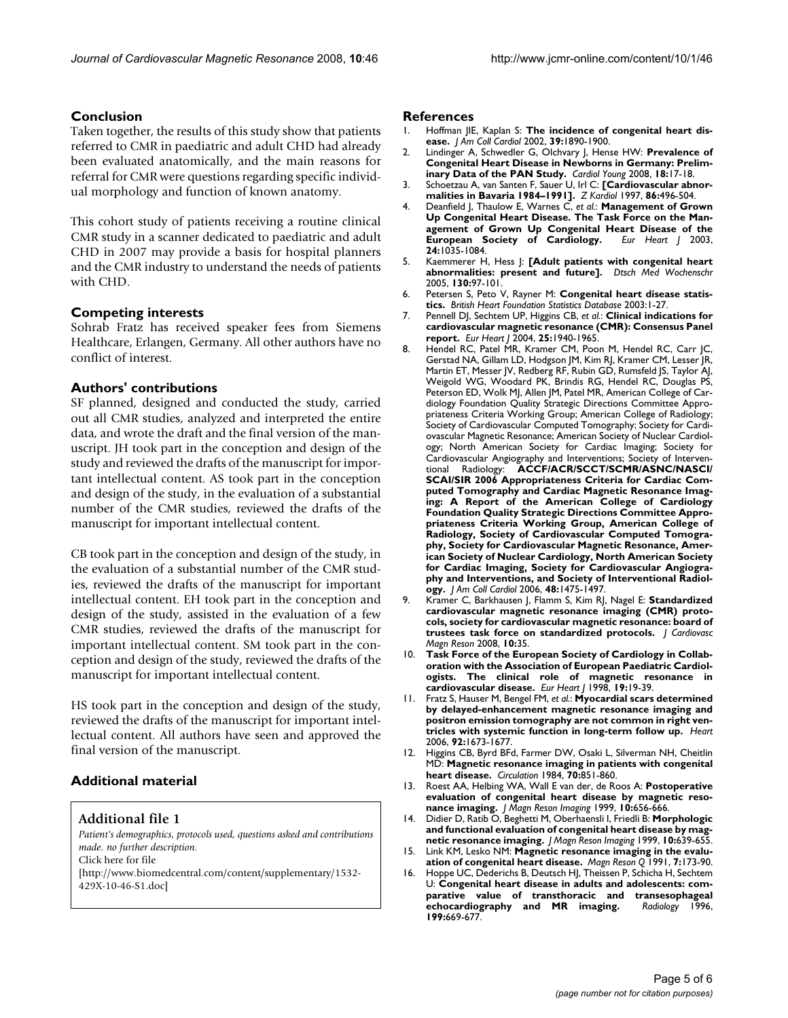#### **Conclusion**

Taken together, the results of this study show that patients referred to CMR in paediatric and adult CHD had already been evaluated anatomically, and the main reasons for referral for CMR were questions regarding specific individual morphology and function of known anatomy.

This cohort study of patients receiving a routine clinical CMR study in a scanner dedicated to paediatric and adult CHD in 2007 may provide a basis for hospital planners and the CMR industry to understand the needs of patients with CHD.

#### **Competing interests**

Sohrab Fratz has received speaker fees from Siemens Healthcare, Erlangen, Germany. All other authors have no conflict of interest.

#### **Authors' contributions**

SF planned, designed and conducted the study, carried out all CMR studies, analyzed and interpreted the entire data, and wrote the draft and the final version of the manuscript. JH took part in the conception and design of the study and reviewed the drafts of the manuscript for important intellectual content. AS took part in the conception and design of the study, in the evaluation of a substantial number of the CMR studies, reviewed the drafts of the manuscript for important intellectual content.

CB took part in the conception and design of the study, in the evaluation of a substantial number of the CMR studies, reviewed the drafts of the manuscript for important intellectual content. EH took part in the conception and design of the study, assisted in the evaluation of a few CMR studies, reviewed the drafts of the manuscript for important intellectual content. SM took part in the conception and design of the study, reviewed the drafts of the manuscript for important intellectual content.

HS took part in the conception and design of the study, reviewed the drafts of the manuscript for important intellectual content. All authors have seen and approved the final version of the manuscript.

### **Additional material**

**Additional file 1**

*Patient's demographics, protocols used, questions asked and contributions made. no further description.* Click here for file [\[http://www.biomedcentral.com/content/supplementary/1532-](http://www.biomedcentral.com/content/supplementary/1532-429X-10-46-S1.doc) 429X-10-46-S1.doc]

#### **References**

- Hoffman *JIE*, Kaplan S: [The incidence of congenital heart dis](http://www.ncbi.nlm.nih.gov/entrez/query.fcgi?cmd=Retrieve&db=PubMed&dopt=Abstract&list_uids=12084585)**[ease.](http://www.ncbi.nlm.nih.gov/entrez/query.fcgi?cmd=Retrieve&db=PubMed&dopt=Abstract&list_uids=12084585)** *J Am Coll Cardiol* 2002, **39:**1890-1900.
- 2. Lindinger A, Schwedler G, Olchvary J, Hense HW: **Prevalence of Congenital Heart Disease in Newborns in Germany: Preliminary Data of the PAN Study.** *Cardiol Young* 2008, **18:**17-18.
- 3. Schoetzau A, van Santen F, Sauer U, Irl C: **[\[Cardiovascular abnor](http://www.ncbi.nlm.nih.gov/entrez/query.fcgi?cmd=Retrieve&db=PubMed&dopt=Abstract&list_uids=9340939)[malities in Bavaria 1984–1991\].](http://www.ncbi.nlm.nih.gov/entrez/query.fcgi?cmd=Retrieve&db=PubMed&dopt=Abstract&list_uids=9340939)** *Z Kardiol* 1997, **86:**496-504.
- 4. Deanfield J, Thaulow E, Warnes C, *et al.*: **[Management of Grown](http://www.ncbi.nlm.nih.gov/entrez/query.fcgi?cmd=Retrieve&db=PubMed&dopt=Abstract&list_uids=12868424) [Up Congenital Heart Disease. The Task Force on the Man](http://www.ncbi.nlm.nih.gov/entrez/query.fcgi?cmd=Retrieve&db=PubMed&dopt=Abstract&list_uids=12868424)agement of Grown Up Congenital Heart Disease of the** [European Society of Cardiology.](http://www.ncbi.nlm.nih.gov/entrez/query.fcgi?cmd=Retrieve&db=PubMed&dopt=Abstract&list_uids=12868424) **24:**1035-1084.
- 5. Kaemmerer H, Hess J: **[\[Adult patients with congenital heart](http://www.ncbi.nlm.nih.gov/entrez/query.fcgi?cmd=Retrieve&db=PubMed&dopt=Abstract&list_uids=15650959) [abnormalities: present and future\].](http://www.ncbi.nlm.nih.gov/entrez/query.fcgi?cmd=Retrieve&db=PubMed&dopt=Abstract&list_uids=15650959)** *Dtsch Med Wochenschr* 2005, **130:**97-101.
- 6. Petersen S, Peto V, Rayner M: **Congenital heart disease statistics.** *British Heart Foundation Statistics Database* 2003:1-27.
- 7. Pennell DJ, Sechtem UP, Higgins CB, *et al.*: **[Clinical indications for](http://www.ncbi.nlm.nih.gov/entrez/query.fcgi?cmd=Retrieve&db=PubMed&dopt=Abstract&list_uids=15522474) [cardiovascular magnetic resonance \(CMR\): Consensus Panel](http://www.ncbi.nlm.nih.gov/entrez/query.fcgi?cmd=Retrieve&db=PubMed&dopt=Abstract&list_uids=15522474) [report.](http://www.ncbi.nlm.nih.gov/entrez/query.fcgi?cmd=Retrieve&db=PubMed&dopt=Abstract&list_uids=15522474)** *Eur Heart J* 2004, **25:**1940-1965.
- 8. Hendel RC, Patel MR, Kramer CM, Poon M, Hendel RC, Carr JC, Gerstad NA, Gillam LD, Hodgson JM, Kim RJ, Kramer CM, Lesser JR, Martin ET, Messer JV, Redberg RF, Rubin GD, Rumsfeld JS, Taylor AJ, Weigold WG, Woodard PK, Brindis RG, Hendel RC, Douglas PS, Peterson ED, Wolk MJ, Allen JM, Patel MR, American College of Cardiology Foundation Quality Strategic Directions Committee Appropriateness Criteria Working Group; American College of Radiology; Society of Cardiovascular Computed Tomography; Society for Cardiovascular Magnetic Resonance; American Society of Nuclear Cardiology; North American Society for Cardiac Imaging; Society for Cardiovascular Angiography and Interventions; Society of Interventional Radiology: **[ACCF/ACR/SCCT/SCMR/ASNC/NASCI/](http://www.ncbi.nlm.nih.gov/entrez/query.fcgi?cmd=Retrieve&db=PubMed&dopt=Abstract&list_uids=17010819) SCAI/SIR 2006 Appropriateness Criteria for Cardiac Computed Tomography and Cardiac Magnetic Resonance Imaging: A Report of the American College of Cardiology Foundation Quality Strategic Directions Committee Appropriateness Criteria Working Group, American College of Radiology, Society of Cardiovascular Computed Tomography, Society for Cardiovascular Magnetic Resonance, American Society of Nuclear Cardiology, North American Society [for Cardiac Imaging, Society for Cardiovascular Angiogra](http://www.ncbi.nlm.nih.gov/entrez/query.fcgi?cmd=Retrieve&db=PubMed&dopt=Abstract&list_uids=17010819)phy and Interventions, and Society of Interventional Radiol[ogy.](http://www.ncbi.nlm.nih.gov/entrez/query.fcgi?cmd=Retrieve&db=PubMed&dopt=Abstract&list_uids=17010819)** *J Am Coll Cardiol* 2006, **48:**1475-1497.
- 9. Kramer C, Barkhausen J, Flamm S, Kim RJ, Nagel E: **[Standardized](http://www.ncbi.nlm.nih.gov/entrez/query.fcgi?cmd=Retrieve&db=PubMed&dopt=Abstract&list_uids=18605997) [cardiovascular magnetic resonance imaging \(CMR\) proto](http://www.ncbi.nlm.nih.gov/entrez/query.fcgi?cmd=Retrieve&db=PubMed&dopt=Abstract&list_uids=18605997)cols, society for cardiovascular magnetic resonance: board of [trustees task force on standardized protocols.](http://www.ncbi.nlm.nih.gov/entrez/query.fcgi?cmd=Retrieve&db=PubMed&dopt=Abstract&list_uids=18605997)** *J Cardiovasc Magn Reson* 2008, **10:**35.
- 10. **[Task Force of the European Society of Cardiology in Collab](http://www.ncbi.nlm.nih.gov/entrez/query.fcgi?cmd=Retrieve&db=PubMed&dopt=Abstract&list_uids=9503174)[oration with the Association of European Paediatric Cardiol](http://www.ncbi.nlm.nih.gov/entrez/query.fcgi?cmd=Retrieve&db=PubMed&dopt=Abstract&list_uids=9503174)ogists. The clinical role of magnetic resonance in [cardiovascular disease.](http://www.ncbi.nlm.nih.gov/entrez/query.fcgi?cmd=Retrieve&db=PubMed&dopt=Abstract&list_uids=9503174)** *Eur Heart J* 1998, **19:**19-39.
- 11. Fratz S, Hauser M, Bengel FM, *et al.*: **[Myocardial scars determined](http://www.ncbi.nlm.nih.gov/entrez/query.fcgi?cmd=Retrieve&db=PubMed&dopt=Abstract&list_uids=16775088) [by delayed-enhancement magnetic resonance imaging and](http://www.ncbi.nlm.nih.gov/entrez/query.fcgi?cmd=Retrieve&db=PubMed&dopt=Abstract&list_uids=16775088) positron emission tomography are not common in right ven[tricles with systemic function in long-term follow up.](http://www.ncbi.nlm.nih.gov/entrez/query.fcgi?cmd=Retrieve&db=PubMed&dopt=Abstract&list_uids=16775088)** *Heart* 2006, **92:**1673-1677.
- 12. Higgins CB, Byrd BFd, Farmer DW, Osaki L, Silverman NH, Cheitlin MD: **[Magnetic resonance imaging in patients with congenital](http://www.ncbi.nlm.nih.gov/entrez/query.fcgi?cmd=Retrieve&db=PubMed&dopt=Abstract&list_uids=6488498) [heart disease.](http://www.ncbi.nlm.nih.gov/entrez/query.fcgi?cmd=Retrieve&db=PubMed&dopt=Abstract&list_uids=6488498)** *Circulation* 1984, **70:**851-860.
- 13. Roest AA, Helbing WA, Wall E van der, de Roos A: **[Postoperative](http://www.ncbi.nlm.nih.gov/entrez/query.fcgi?cmd=Retrieve&db=PubMed&dopt=Abstract&list_uids=10548773) [evaluation of congenital heart disease by magnetic reso](http://www.ncbi.nlm.nih.gov/entrez/query.fcgi?cmd=Retrieve&db=PubMed&dopt=Abstract&list_uids=10548773)[nance imaging.](http://www.ncbi.nlm.nih.gov/entrez/query.fcgi?cmd=Retrieve&db=PubMed&dopt=Abstract&list_uids=10548773)** *J Magn Reson Imaging* 1999, **10:**656-666.
- 14. Didier D, Ratib O, Beghetti M, Oberhaensli I, Friedli B: **[Morphologic](http://www.ncbi.nlm.nih.gov/entrez/query.fcgi?cmd=Retrieve&db=PubMed&dopt=Abstract&list_uids=10548772) [and functional evaluation of congenital heart disease by mag](http://www.ncbi.nlm.nih.gov/entrez/query.fcgi?cmd=Retrieve&db=PubMed&dopt=Abstract&list_uids=10548772)[netic resonance imaging.](http://www.ncbi.nlm.nih.gov/entrez/query.fcgi?cmd=Retrieve&db=PubMed&dopt=Abstract&list_uids=10548772)** *J Magn Reson Imaging* 1999, **10:**639-655.
- 15. Link KM, Lesko NM: **[Magnetic resonance imaging in the evalu](http://www.ncbi.nlm.nih.gov/entrez/query.fcgi?cmd=Retrieve&db=PubMed&dopt=Abstract&list_uids=1747330)[ation of congenital heart disease.](http://www.ncbi.nlm.nih.gov/entrez/query.fcgi?cmd=Retrieve&db=PubMed&dopt=Abstract&list_uids=1747330)** *Magn Reson Q* 1991, **7:**173-90.
- 16. Hoppe UC, Dederichs B, Deutsch HJ, Theissen P, Schicha H, Sechtem U: **[Congenital heart disease in adults and adolescents: com](http://www.ncbi.nlm.nih.gov/entrez/query.fcgi?cmd=Retrieve&db=PubMed&dopt=Abstract&list_uids=8637985)[parative value of transthoracic and transesophageal](http://www.ncbi.nlm.nih.gov/entrez/query.fcgi?cmd=Retrieve&db=PubMed&dopt=Abstract&list_uids=8637985) [echocardiography and MR imaging.](http://www.ncbi.nlm.nih.gov/entrez/query.fcgi?cmd=Retrieve&db=PubMed&dopt=Abstract&list_uids=8637985) 199:**669-677.